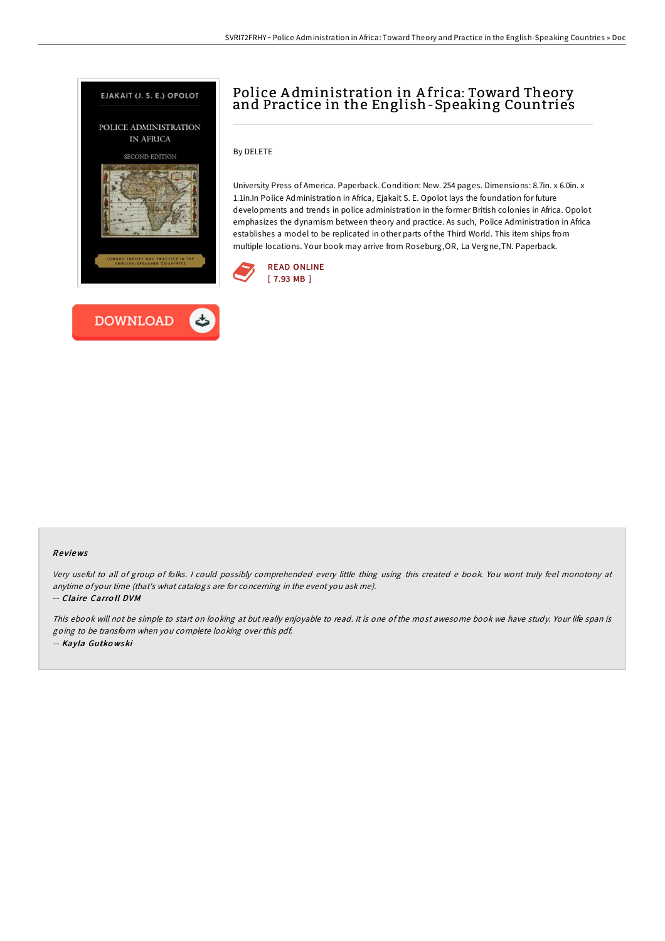



By DELETE

University Press of America. Paperback. Condition: New. 254 pages. Dimensions: 8.7in. x 6.0in. x 1.1in.In Police Administration in Africa, Ejakait S. E. Opolot lays the foundation for future developments and trends in police administration in the former British colonies in Africa. Opolot emphasizes the dynamism between theory and practice. As such, Police Administration in Africa establishes a model to be replicated in other parts of the Third World. This item ships from multiple locations. Your book may arrive from Roseburg,OR, La Vergne,TN. Paperback.



## Re views

Very useful to all of group of folks. <sup>I</sup> could possibly comprehended every little thing using this created <sup>e</sup> book. You wont truly feel monotony at anytime of your time (that's what catalogs are for concerning in the event you ask me).

-- Claire Carro ll DVM

This ebook will not be simple to start on looking at but really enjoyable to read. It is one of the most awesome book we have study. Your life span is going to be transform when you complete looking over this pdf. -- Kayla Gutko wski